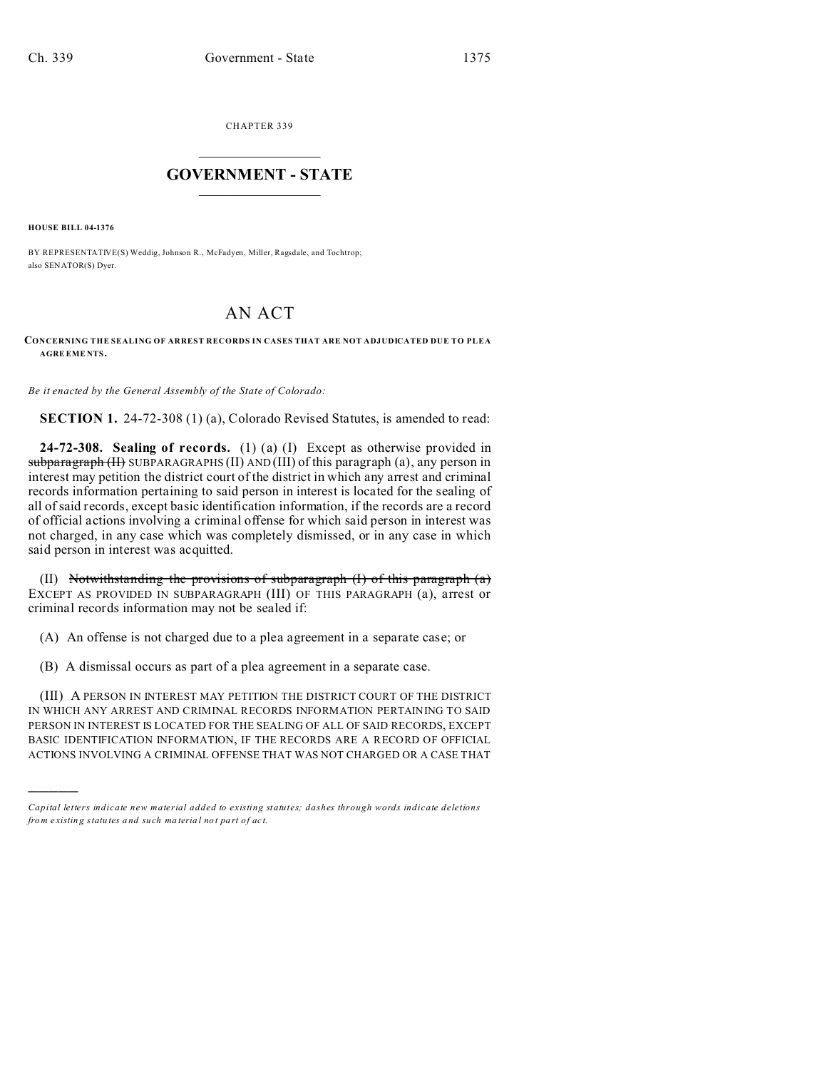CHAPTER 339  $\overline{\phantom{a}}$  , where  $\overline{\phantom{a}}$ 

## **GOVERNMENT - STATE**  $\_$   $\_$

**HOUSE BILL 04-1376**

)))))

BY REPRESENTATIVE(S) Weddig, Johnson R., McFadyen, Miller, Ragsdale, and Tochtrop; also SENATOR(S) Dyer.

## AN ACT

## **CONCERNING THE SEALING OF ARREST RECORDS IN CASES THAT ARE NOT ADJUDICATED DUE TO PLEA AGRE EME NTS.**

*Be it enacted by the General Assembly of the State of Colorado:*

**SECTION 1.** 24-72-308 (1) (a), Colorado Revised Statutes, is amended to read:

**24-72-308. Sealing of records.** (1) (a) (I) Except as otherwise provided in  $subparazraph (H) SUBPARAGRAPHS (II) AND (III) of this paragraph (a), any person in$ interest may petition the district court of the district in which any arrest and criminal records information pertaining to said person in interest is located for the sealing of all of said records, except basic identification information, if the records are a record of official actions involving a criminal offense for which said person in interest was not charged, in any case which was completely dismissed, or in any case in which said person in interest was acquitted.

(II) Notwithstanding the provisions of subparagraph  $(I)$  of this paragraph  $(a)$ EXCEPT AS PROVIDED IN SUBPARAGRAPH (III) OF THIS PARAGRAPH (a), arrest or criminal records information may not be sealed if:

(A) An offense is not charged due to a plea agreement in a separate case; or

(B) A dismissal occurs as part of a plea agreement in a separate case.

(III) A PERSON IN INTEREST MAY PETITION THE DISTRICT COURT OF THE DISTRICT IN WHICH ANY ARREST AND CRIMINAL RECORDS INFORMATION PERTAINING TO SAID PERSON IN INTEREST IS LOCATED FOR THE SEALING OF ALL OF SAID RECORDS, EXCEPT BASIC IDENTIFICATION INFORMATION, IF THE RECORDS ARE A RECORD OF OFFICIAL ACTIONS INVOLVING A CRIMINAL OFFENSE THAT WAS NOT CHARGED OR A CASE THAT

*Capital letters indicate new material added to existing statutes; dashes through words indicate deletions from e xistin g statu tes a nd such ma teria l no t pa rt of ac t.*